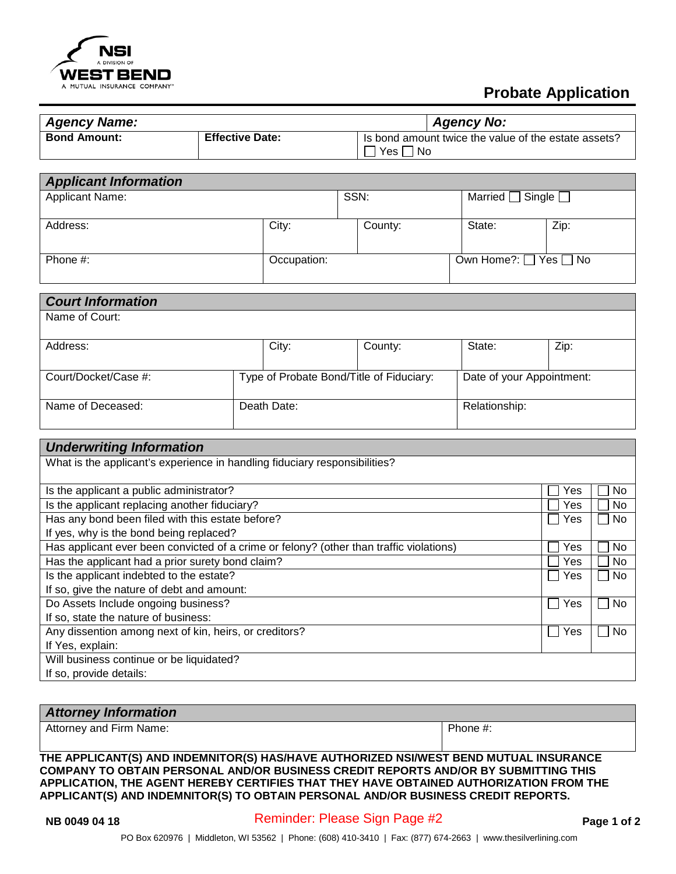

## **Probate Application**

| <b>Agency Name:</b> |                        | <b>Agency No:</b>                                                    |
|---------------------|------------------------|----------------------------------------------------------------------|
| <b>Bond Amount:</b> | <b>Effective Date:</b> | Is bond amount twice the value of the estate assets?<br>Yes.<br>l No |

| <b>Applicant Information</b> |             |         |                                 |                              |  |
|------------------------------|-------------|---------|---------------------------------|------------------------------|--|
| <b>Applicant Name:</b>       |             | SSN:    |                                 | Married $\Box$ Single $\Box$ |  |
|                              |             |         |                                 |                              |  |
| Address:                     | City:       | County: | State:                          | Zip:                         |  |
|                              |             |         |                                 |                              |  |
| Phone $#$ :                  | Occupation: |         | Own Home?: $\Box$ Yes $\Box$ No |                              |  |
|                              |             |         |                                 |                              |  |

| <b>Court Information</b> |                                          |             |                           |               |      |
|--------------------------|------------------------------------------|-------------|---------------------------|---------------|------|
| Name of Court:           |                                          |             |                           |               |      |
| Address:                 |                                          | City:       | County:                   | State:        | Zip: |
| Court/Docket/Case #:     | Type of Probate Bond/Title of Fiduciary: |             | Date of your Appointment: |               |      |
| Name of Deceased:        |                                          | Death Date: |                           | Relationship: |      |

| <b>Underwriting Information</b>                                                         |     |           |  |  |  |
|-----------------------------------------------------------------------------------------|-----|-----------|--|--|--|
| What is the applicant's experience in handling fiduciary responsibilities?              |     |           |  |  |  |
|                                                                                         |     |           |  |  |  |
| Is the applicant a public administrator?                                                | Yes | No        |  |  |  |
| Is the applicant replacing another fiduciary?                                           | Yes | <b>No</b> |  |  |  |
| Has any bond been filed with this estate before?                                        | Yes | No        |  |  |  |
| If yes, why is the bond being replaced?                                                 |     |           |  |  |  |
| Has applicant ever been convicted of a crime or felony? (other than traffic violations) | Yes | No        |  |  |  |
| Has the applicant had a prior surety bond claim?                                        | Yes | No.       |  |  |  |
| Is the applicant indebted to the estate?                                                | Yes | No        |  |  |  |
| If so, give the nature of debt and amount:                                              |     |           |  |  |  |
| Do Assets Include ongoing business?                                                     | Yes | No        |  |  |  |
| If so, state the nature of business:                                                    |     |           |  |  |  |
| Any dissention among next of kin, heirs, or creditors?                                  | Yes | No        |  |  |  |
| If Yes, explain:                                                                        |     |           |  |  |  |
| Will business continue or be liquidated?                                                |     |           |  |  |  |
| If so, provide details:                                                                 |     |           |  |  |  |

## *Attorney Information*

Attorney and Firm Name: Phone #:

**THE APPLICANT(S) AND INDEMNITOR(S) HAS/HAVE AUTHORIZED NSI/WEST BEND MUTUAL INSURANCE COMPANY TO OBTAIN PERSONAL AND/OR BUSINESS CREDIT REPORTS AND/OR BY SUBMITTING THIS APPLICATION, THE AGENT HEREBY CERTIFIES THAT THEY HAVE OBTAINED AUTHORIZATION FROM THE APPLICANT(S) AND INDEMNITOR(S) TO OBTAIN PERSONAL AND/OR BUSINESS CREDIT REPORTS.**

**NB 0049 04 18** Page 1 of 2